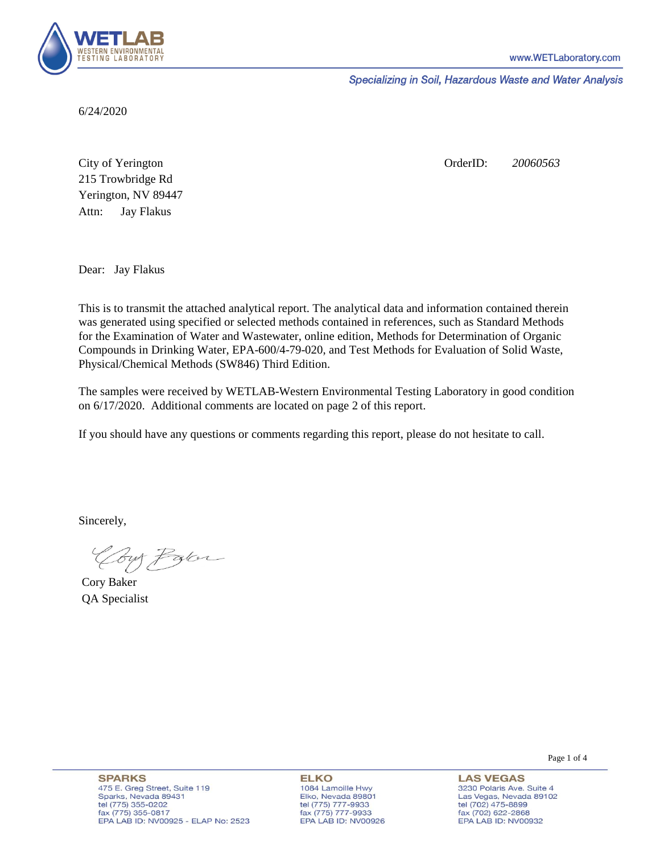

Specializing in Soil, Hazardous Waste and Water Analysis

6/24/2020

Attn: City of Yerington 215 Trowbridge Rd Jay Flakus Yerington, NV 89447 OrderID: *20060563*

Dear: Jay Flakus

This is to transmit the attached analytical report. The analytical data and information contained therein was generated using specified or selected methods contained in references, such as Standard Methods for the Examination of Water and Wastewater, online edition, Methods for Determination of Organic Compounds in Drinking Water, EPA-600/4-79-020, and Test Methods for Evaluation of Solid Waste, Physical/Chemical Methods (SW846) Third Edition.

The samples were received by WETLAB-Western Environmental Testing Laboratory in good condition on 6/17/2020. Additional comments are located on page 2 of this report.

If you should have any questions or comments regarding this report, please do not hesitate to call.

Sincerely,

Coy Palor

Cory Baker QA Specialist

Page 1 of 4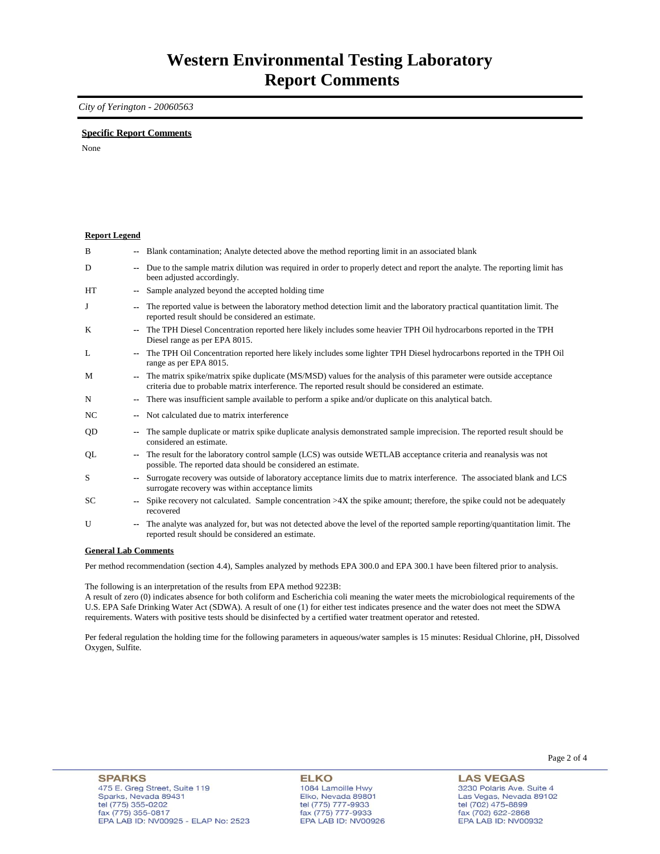## *City of Yerington - 20060563*

### **Specific Report Comments**

None

| <b>Report Legend</b> |                          |                                                                                                                                                                                                                           |
|----------------------|--------------------------|---------------------------------------------------------------------------------------------------------------------------------------------------------------------------------------------------------------------------|
| B                    |                          | -- Blank contamination; Analyte detected above the method reporting limit in an associated blank                                                                                                                          |
| D                    | $- -$                    | Due to the sample matrix dilution was required in order to properly detect and report the analyte. The reporting limit has<br>been adjusted accordingly.                                                                  |
| HT                   |                          | Sample analyzed beyond the accepted holding time                                                                                                                                                                          |
| J                    |                          | The reported value is between the laboratory method detection limit and the laboratory practical quantitation limit. The<br>reported result should be considered an estimate.                                             |
| K                    | $\overline{\phantom{a}}$ | The TPH Diesel Concentration reported here likely includes some heavier TPH Oil hydrocarbons reported in the TPH<br>Diesel range as per EPA 8015.                                                                         |
| L                    |                          | The TPH Oil Concentration reported here likely includes some lighter TPH Diesel hydrocarbons reported in the TPH Oil<br>range as per EPA 8015.                                                                            |
| M                    |                          | The matrix spike/matrix spike duplicate (MS/MSD) values for the analysis of this parameter were outside acceptance<br>criteria due to probable matrix interference. The reported result should be considered an estimate. |
| N                    | $\overline{\phantom{a}}$ | There was insufficient sample available to perform a spike and/or duplicate on this analytical batch.                                                                                                                     |
| NC                   |                          | Not calculated due to matrix interference                                                                                                                                                                                 |
| QD                   | $\overline{\phantom{a}}$ | The sample duplicate or matrix spike duplicate analysis demonstrated sample imprecision. The reported result should be<br>considered an estimate.                                                                         |
| QL                   |                          | The result for the laboratory control sample (LCS) was outside WETLAB acceptance criteria and reanalysis was not<br>possible. The reported data should be considered an estimate.                                         |
| S                    |                          | Surrogate recovery was outside of laboratory acceptance limits due to matrix interference. The associated blank and LCS<br>surrogate recovery was within acceptance limits                                                |
| SC                   |                          | Spike recovery not calculated. Sample concentration $>4X$ the spike amount; therefore, the spike could not be adequately<br>recovered                                                                                     |
| U                    |                          | The analyte was analyzed for, but was not detected above the level of the reported sample reporting/quantitation limit. The<br>reported result should be considered an estimate.                                          |
| $\sim$               |                          | $\mathbf{1}$ $\mathbf{1}$ $\alpha$                                                                                                                                                                                        |

#### **General Lab Comments**

Per method recommendation (section 4.4), Samples analyzed by methods EPA 300.0 and EPA 300.1 have been filtered prior to analysis.

The following is an interpretation of the results from EPA method 9223B:

A result of zero (0) indicates absence for both coliform and Escherichia coli meaning the water meets the microbiological requirements of the U.S. EPA Safe Drinking Water Act (SDWA). A result of one (1) for either test indicates presence and the water does not meet the SDWA requirements. Waters with positive tests should be disinfected by a certified water treatment operator and retested.

Per federal regulation the holding time for the following parameters in aqueous/water samples is 15 minutes: Residual Chlorine, pH, Dissolved Oxygen, Sulfite.

**ELKO** 1084 Lamoille Hwy Elko, Nevada 89801 tel (775) 777-9933<br>fax (775) 777-9933 EPA LAB ID: NV00926 Page 2 of 4

**LAS VEGAS** 3230 Polaris Ave. Suite 4 Las Vegas, Nevada 89102 tel (702) 475-8899<br>fax (702) 622-2868 EPA LAB ID: NV00932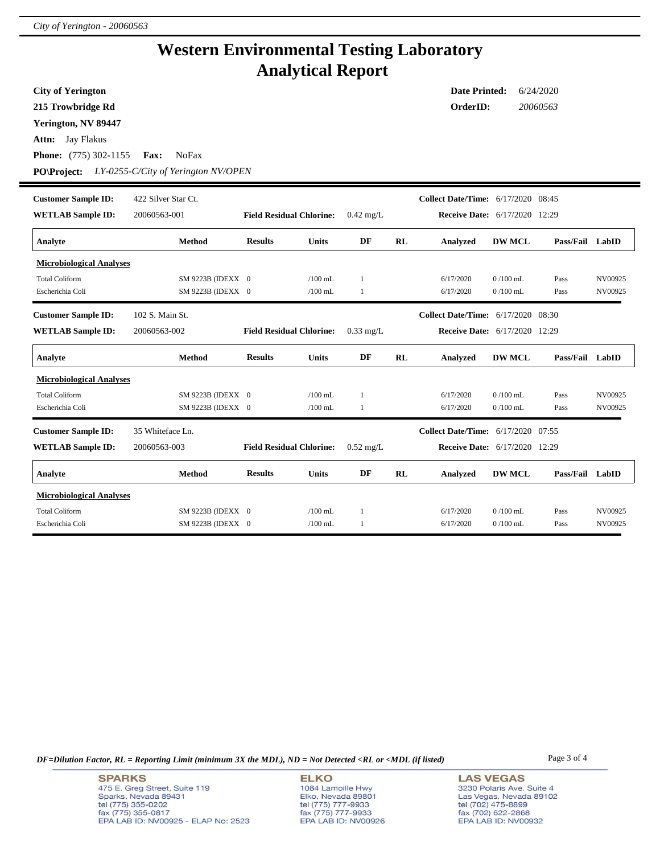## **Western Environmental Testing Laboratory Analytical Report**

**Attn:** Jay Flakus **City of Yerington 215 Trowbridge Rd Phone:** (775) 302-1155 **Fax:** NoFax **Date Printed:** 6/24/2020 **OrderID:** *20060563* **Yerington, NV 89447 PO\Project:** *LY-0255-C/City of Yerington NV/OPEN* **WETLAB Sample ID:** 20060563-001 **Customer Sample ID: Receive Date:** 6/17/2020 12:29 422 Silver Star Ct. **Collect Date/Time:** 6/17/2020 08:45 **Analyte Method Results Units DF RL Analyzed DW MCL Pass/Fail LabID Field Residual Chlorine:** 0.42 mg/L **Microbiological Analyses** Total Coliform SM 9223B (IDEXX 0 /100 mL 1 6/17/2020 0 /100 mL Pass NV00925 Escherichia Coli SM 9223B (IDEXX 0 /100 mL 1 6/17/2020 0 /100 mL Pass NV00925 **WETLAB Sample ID:** 20060563-002 **Customer Sample ID: Receive Date:** 6/17/2020 12:29 102 S. Main St. **Collect Date/Time:** 6/17/2020 08:30 **Analyte Method Results Units DF RL Analyzed DW MCL Pass/Fail LabID Field Residual Chlorine:** 0.33 mg/L **Microbiological Analyses** Total Coliform SM 9223B (IDEXX 0 /100 mL 1 6/17/2020 0 /100 mL Pass NV00925 Escherichia Coli SM 9223B (IDEXX 0 /100 mL 1 6/17/2020 0 /100 mL Pass NV00925 **WETLAB Sample ID:** 20060563-003 **Customer Sample ID: Receive Date:** 6/17/2020 12:29 35 Whiteface Ln. **Collect Date/Time:** 6/17/2020 07:55 **Analyte Method Results Units DF RL Analyzed DW MCL Pass/Fail LabID Field Residual Chlorine:** 0.52 mg/L **Microbiological Analyses** Total Coliform SM 9223B (IDEXX 0 /100 mL 1 6/17/2020 0 /100 mL Pass NV00925 Escherichia Coli SM 9223B (IDEXX 0 /100 mL 1 6/17/2020 0 /100 mL Pass NV00925

*DF=Dilution Factor, RL = Reporting Limit (minimum 3X the MDL), ND = Not Detected <RL or <MDL (if listed)* Page 3 of 4

**SPARKS** 475 E. Greg Street, Suite 119 Sparks, Nevada 89431 tel (775) 355-0202 fax (775) 355-0817 EPA LAB ID: NV00925 - ELAP No: 2523

**ELKO** 1084 Lamoille Hwy Elko, Nevada 89801 tel (775) 777-9933<br>fax (775) 777-9933 EPA LAB ID: NV00926

**LAS VEGAS** 3230 Polaris Ave. Suite 4 Las Vegas, Nevada 89102 tel (702) 475-8899<br>fax (702) 622-2868 EPA LAB ID: NV00932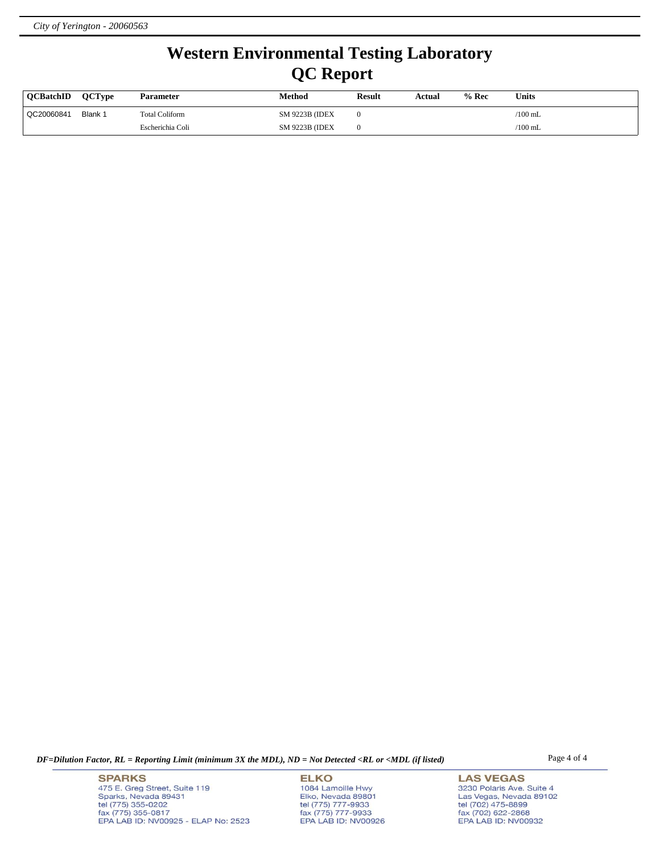# **Western Environmental Testing Laboratory QC Report**

| <b>OCBatchID</b> | <b>OCTvpe</b> | <b>Parameter</b> | Method                 | <b>Result</b> | Actual | $%$ Rec | <b>Units</b>    |
|------------------|---------------|------------------|------------------------|---------------|--------|---------|-----------------|
| QC20060841       | Blank 1       | Total Coliform   | <b>SM 9223B (IDEX)</b> |               |        |         | $/100$ mL       |
|                  |               | Escherichia Coli | <b>SM 9223B (IDEX)</b> |               |        |         | $\sqrt{100}$ mL |

*DF=Dilution Factor, RL = Reporting Limit (minimum 3X the MDL), ND = Not Detected <RL or <MDL (if listed)* Page 4 of 4

**SPARKS** 475 E. Greg Street, Suite 119 Sparks, Nevada 89431<br>tel (775) 355-0202<br>fax (775) 355-0817 EPA LAB ID: NV00925 - ELAP No: 2523

**ELKO** 1084 Lamoille Hwy Elko, Nevada 89801<br>tel (775) 777-9933<br>fax (775) 777-9933 EPA LAB ID: NV00926

**LAS VEGAS** 3230 Polaris Ave. Suite 4 Las Vegas, Nevada 89102<br>tel (702) 475-8899<br>fax (702) 622-2868<br>EPA LAB ID: NV00932